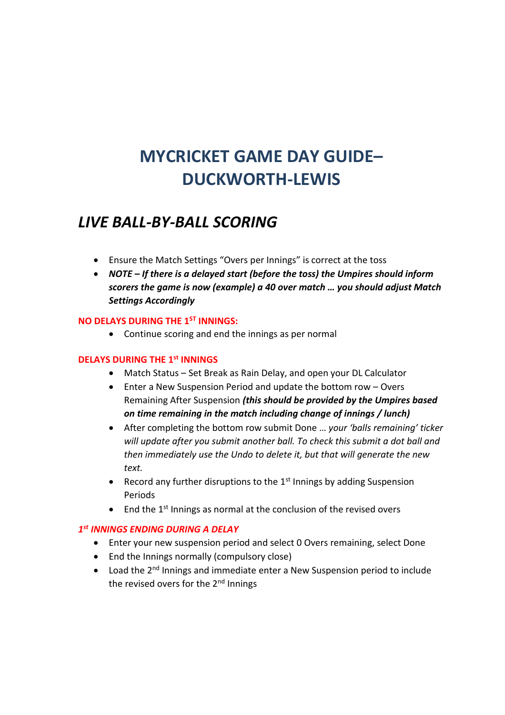# **MYCRICKET GAME DAY GUIDE– DUCKWORTH-LEWIS**

# *LIVE BALL-BY-BALL SCORING*

- Ensure the Match Settings "Overs per Innings" is correct at the toss
- *NOTE – If there is a delayed start (before the toss) the Umpires should inform scorers the game is now (example) a 40 over match … you should adjust Match Settings Accordingly*

# **NO DELAYS DURING THE 1ST INNINGS:**

• Continue scoring and end the innings as per normal

# **DELAYS DURING THE 1st INNINGS**

- Match Status Set Break as Rain Delay, and open your DL Calculator
- Enter a New Suspension Period and update the bottom row Overs Remaining After Suspension *(this should be provided by the Umpires based on time remaining in the match including change of innings / lunch)*
- After completing the bottom row submit Done … *your 'balls remaining' ticker will update after you submit another ball. To check this submit a dot ball and then immediately use the Undo to delete it, but that will generate the new text.*
- Record any further disruptions to the  $1<sup>st</sup>$  Innings by adding Suspension Periods
- End the 1<sup>st</sup> Innings as normal at the conclusion of the revised overs

## *1 st INNINGS ENDING DURING A DELAY*

- Enter your new suspension period and select 0 Overs remaining, select Done
- End the Innings normally (compulsory close)
- Load the 2<sup>nd</sup> Innings and immediate enter a New Suspension period to include the revised overs for the 2<sup>nd</sup> Innings